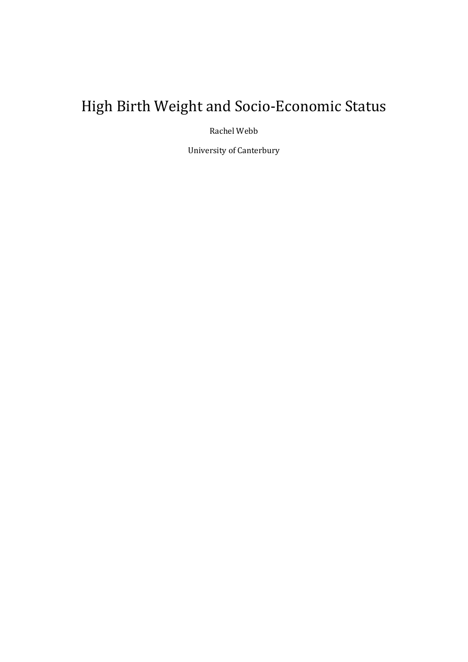# High Birth Weight and Socio-Economic Status

Rachel Webb

University of Canterbury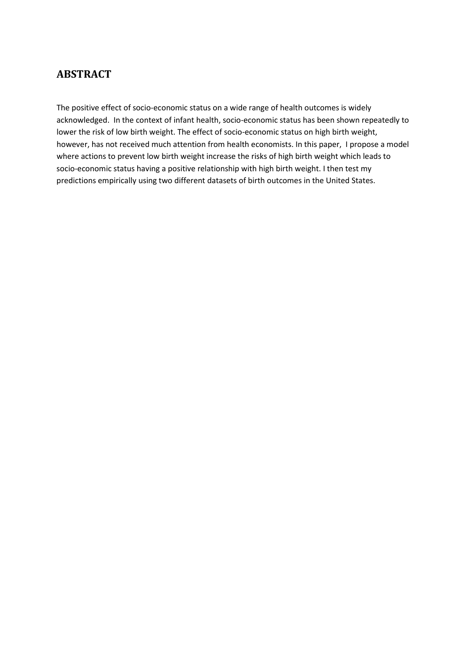## **ABSTRACT**

The positive effect of socio-economic status on a wide range of health outcomes is widely acknowledged. In the context of infant health, socio-economic status has been shown repeatedly to lower the risk of low birth weight. The effect of socio-economic status on high birth weight, however, has not received much attention from health economists. In this paper, I propose a model where actions to prevent low birth weight increase the risks of high birth weight which leads to socio-economic status having a positive relationship with high birth weight. I then test my predictions empirically using two different datasets of birth outcomes in the United States.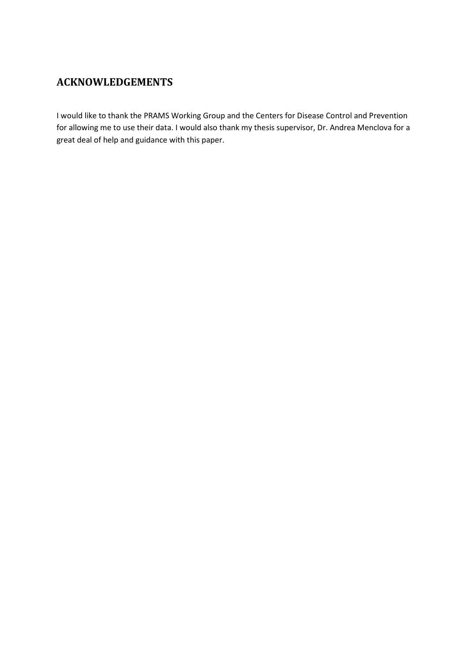# **ACKNOWLEDGEMENTS**

I would like to thank the PRAMS Working Group and the Centers for Disease Control and Prevention for allowing me to use their data. I would also thank my thesis supervisor, Dr. Andrea Menclova for a great deal of help and guidance with this paper.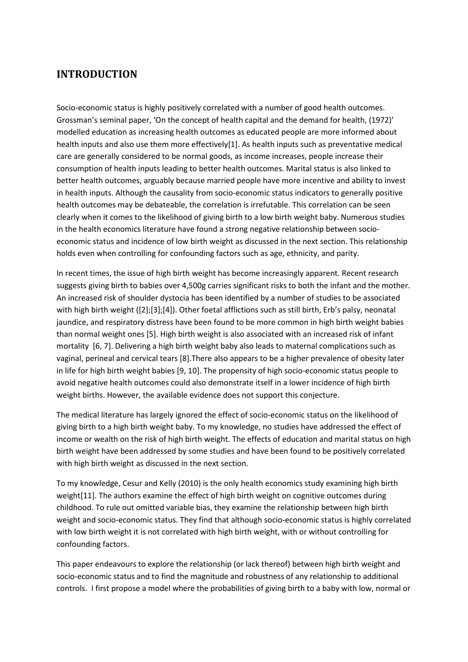# **INTRODUCTION**

Socio-economic status is highly positively correlated with a number of good health outcomes. Grossman's seminal paper, 'On the concept of health capital and the demand for health, (1972)' modelled education as increasing health outcomes as educated people are more informed about health inputs and also use them more effectively[\[1\]](#page-30-0). As health inputs such as preventative medical care are generally considered to be normal goods, as income increases, people increase their consumption of health inputs leading to better health outcomes. Marital status is also linked to better health outcomes, arguably because married people have more incentive and ability to invest in health inputs. Although the causality from socio-economic status indicators to generally positive health outcomes may be debateable, the correlation is irrefutable. This correlation can be seen clearly when it comes to the likelihood of giving birth to a low birth weight baby. Numerous studies in the health economics literature have found a strong negative relationship between socioeconomic status and incidence of low birth weight as discussed in the next section. This relationship holds even when controlling for confounding factors such as age, ethnicity, and parity.

In recent times, the issue of high birth weight has become increasingly apparent. Recent research suggests giving birth to babies over 4,500g carries significant risks to both the infant and the mother. An increased risk of shoulder dystocia has been identified by a number of studies to be associated with high birth weight ([\[2\]](#page-30-1);[\[3\]](#page-30-2);[\[4\]](#page-30-3)). Other foetal afflictions such as still birth, Erb's palsy, neonatal jaundice, and respiratory distress have been found to be more common in high birth weight babies than normal weight ones [\[5\]](#page-30-4). High birth weight is also associated with an increased risk of infant mortality [\[6,](#page-30-5) [7\]](#page-30-6). Delivering a high birth weight baby also leads to maternal complications such as vaginal, perineal and cervical tears [\[8\]](#page-30-7).There also appears to be a higher prevalence of obesity later in life for high birth weight babies [\[9,](#page-30-8) [10\]](#page-30-9). The propensity of high socio-economic status people to avoid negative health outcomes could also demonstrate itself in a lower incidence of high birth weight births. However, the available evidence does not support this conjecture.

The medical literature has largely ignored the effect of socio-economic status on the likelihood of giving birth to a high birth weight baby. To my knowledge, no studies have addressed the effect of income or wealth on the risk of high birth weight. The effects of education and marital status on high birth weight have been addressed by some studies and have been found to be positively correlated with high birth weight as discussed in the next section.

To my knowledge, Cesur and Kelly (2010) is the only health economics study examining high birth weight[\[11\]](#page-30-10). The authors examine the effect of high birth weight on cognitive outcomes during childhood. To rule out omitted variable bias, they examine the relationship between high birth weight and socio-economic status. They find that although socio-economic status is highly correlated with low birth weight it is not correlated with high birth weight, with or without controlling for confounding factors.

This paper endeavours to explore the relationship (or lack thereof) between high birth weight and socio-economic status and to find the magnitude and robustness of any relationship to additional controls. I first propose a model where the probabilities of giving birth to a baby with low, normal or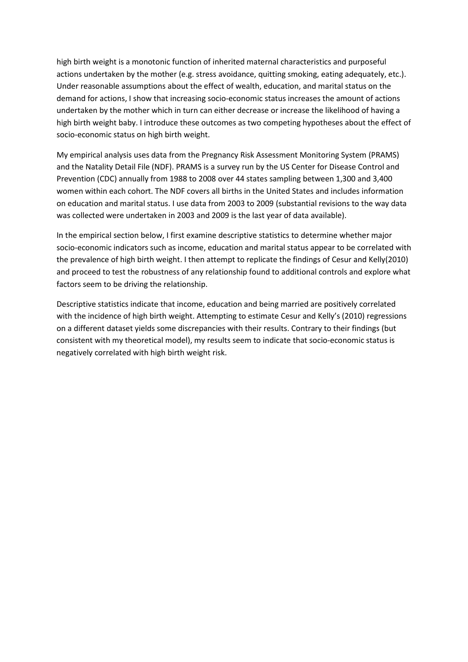high birth weight is a monotonic function of inherited maternal characteristics and purposeful actions undertaken by the mother (e.g. stress avoidance, quitting smoking, eating adequately, etc.). Under reasonable assumptions about the effect of wealth, education, and marital status on the demand for actions, I show that increasing socio-economic status increases the amount of actions undertaken by the mother which in turn can either decrease or increase the likelihood of having a high birth weight baby. I introduce these outcomes as two competing hypotheses about the effect of socio-economic status on high birth weight.

My empirical analysis uses data from the Pregnancy Risk Assessment Monitoring System (PRAMS) and the Natality Detail File (NDF). PRAMS is a survey run by the US Center for Disease Control and Prevention (CDC) annually from 1988 to 2008 over 44 states sampling between 1,300 and 3,400 women within each cohort. The NDF covers all births in the United States and includes information on education and marital status. I use data from 2003 to 2009 (substantial revisions to the way data was collected were undertaken in 2003 and 2009 is the last year of data available).

In the empirical section below, I first examine descriptive statistics to determine whether major socio-economic indicators such as income, education and marital status appear to be correlated with the prevalence of high birth weight. I then attempt to replicate the findings of Cesur and Kelly(2010) and proceed to test the robustness of any relationship found to additional controls and explore what factors seem to be driving the relationship.

Descriptive statistics indicate that income, education and being married are positively correlated with the incidence of high birth weight. Attempting to estimate Cesur and Kelly's (2010) regressions on a different dataset yields some discrepancies with their results. Contrary to their findings (but consistent with my theoretical model), my results seem to indicate that socio-economic status is negatively correlated with high birth weight risk.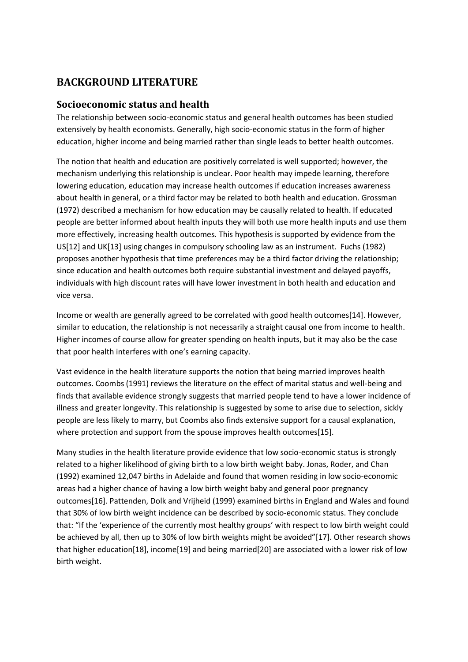# **BACKGROUND LITERATURE**

## **Socioeconomic status and health**

The relationship between socio-economic status and general health outcomes has been studied extensively by health economists. Generally, high socio-economic status in the form of higher education, higher income and being married rather than single leads to better health outcomes.

The notion that health and education are positively correlated is well supported; however, the mechanism underlying this relationship is unclear. Poor health may impede learning, therefore lowering education, education may increase health outcomes if education increases awareness about health in general, or a third factor may be related to both health and education. Grossman (1972) described a mechanism for how education may be causally related to health. If educated people are better informed about health inputs they will both use more health inputs and use them more effectively, increasing health outcomes. This hypothesis is supported by evidence from the US[\[12\]](#page-30-11) and UK[\[13\]](#page-30-12) using changes in compulsory schooling law as an instrument. Fuchs (1982) proposes another hypothesis that time preferences may be a third factor driving the relationship; since education and health outcomes both require substantial investment and delayed payoffs, individuals with high discount rates will have lower investment in both health and education and vice versa.

Income or wealth are generally agreed to be correlated with good health outcomes[\[14\]](#page-30-13). However, similar to education, the relationship is not necessarily a straight causal one from income to health. Higher incomes of course allow for greater spending on health inputs, but it may also be the case that poor health interferes with one's earning capacity.

Vast evidence in the health literature supports the notion that being married improves health outcomes. Coombs (1991) reviews the literature on the effect of marital status and well-being and finds that available evidence strongly suggests that married people tend to have a lower incidence of illness and greater longevity. This relationship is suggested by some to arise due to selection, sickly people are less likely to marry, but Coombs also finds extensive support for a causal explanation, where protection and support from the spouse improves health outcomes[\[15\]](#page-30-14).

Many studies in the health literature provide evidence that low socio-economic status is strongly related to a higher likelihood of giving birth to a low birth weight baby. Jonas, Roder, and Chan (1992) examined 12,047 births in Adelaide and found that women residing in low socio-economic areas had a higher chance of having a low birth weight baby and general poor pregnancy outcomes[\[16\]](#page-30-15). Pattenden, Dolk and Vrijheid (1999) examined births in England and Wales and found that 30% of low birth weight incidence can be described by socio-economic status. They conclude that: "If the 'experience of the currently most healthy groups' with respect to low birth weight could be achieved by all, then up to 30% of low birth weights might be avoided"[\[17\]](#page-30-16). Other research shows that higher education[\[18\]](#page-30-17), income[\[19\]](#page-30-18) and being married[\[20\]](#page-30-19) are associated with a lower risk of low birth weight.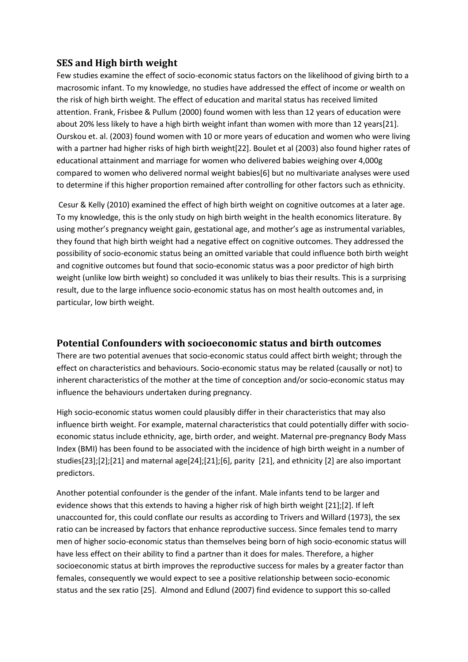## **SES and High birth weight**

Few studies examine the effect of socio-economic status factors on the likelihood of giving birth to a macrosomic infant. To my knowledge, no studies have addressed the effect of income or wealth on the risk of high birth weight. The effect of education and marital status has received limited attention. Frank, Frisbee & Pullum (2000) found women with less than 12 years of education were about 20% less likely to have a high birth weight infant than women with more than 12 years[\[21\]](#page-31-0). Ourskou et. al. (2003) found women with 10 or more years of education and women who were living with a partner had higher risks of high birth weight[\[22\]](#page-31-1). Boulet et al (2003) also found higher rates of educational attainment and marriage for women who delivered babies weighing over 4,000g compared to women who delivered normal weight babies[\[6\]](#page-30-5) but no multivariate analyses were used to determine if this higher proportion remained after controlling for other factors such as ethnicity.

Cesur & Kelly (2010) examined the effect of high birth weight on cognitive outcomes at a later age. To my knowledge, this is the only study on high birth weight in the health economics literature. By using mother's pregnancy weight gain, gestational age, and mother's age as instrumental variables, they found that high birth weight had a negative effect on cognitive outcomes. They addressed the possibility of socio-economic status being an omitted variable that could influence both birth weight and cognitive outcomes but found that socio-economic status was a poor predictor of high birth weight (unlike low birth weight) so concluded it was unlikely to bias their results. This is a surprising result, due to the large influence socio-economic status has on most health outcomes and, in particular, low birth weight.

#### **Potential Confounders with socioeconomic status and birth outcomes**

There are two potential avenues that socio-economic status could affect birth weight; through the effect on characteristics and behaviours. Socio-economic status may be related (causally or not) to inherent characteristics of the mother at the time of conception and/or socio-economic status may influence the behaviours undertaken during pregnancy.

High socio-economic status women could plausibly differ in their characteristics that may also influence birth weight. For example, maternal characteristics that could potentially differ with socioeconomic status include ethnicity, age, birth order, and weight. Maternal pre-pregnancy Body Mass Index (BMI) has been found to be associated with the incidence of high birth weight in a number of studies[\[23\]](#page-31-2);[\[2\]](#page-30-1);[\[21\]](#page-31-0) and maternal age[\[24\]](#page-31-3);[\[21\]](#page-31-0);[\[6\]](#page-30-5), parity [\[21\]](#page-31-0), and ethnicity [\[2\]](#page-30-1) are also important predictors.

Another potential confounder is the gender of the infant. Male infants tend to be larger and evidence shows that this extends to having a higher risk of high birth weight [\[21\]](#page-31-0);[\[2\]](#page-30-1). If left unaccounted for, this could conflate our results as according to Trivers and Willard (1973), the sex ratio can be increased by factors that enhance reproductive success. Since females tend to marry men of higher socio-economic status than themselves being born of high socio-economic status will have less effect on their ability to find a partner than it does for males. Therefore, a higher socioeconomic status at birth improves the reproductive success for males by a greater factor than females, consequently we would expect to see a positive relationship between socio-economic status and the sex ratio [\[25\]](#page-31-4). Almond and Edlund (2007) find evidence to support this so-called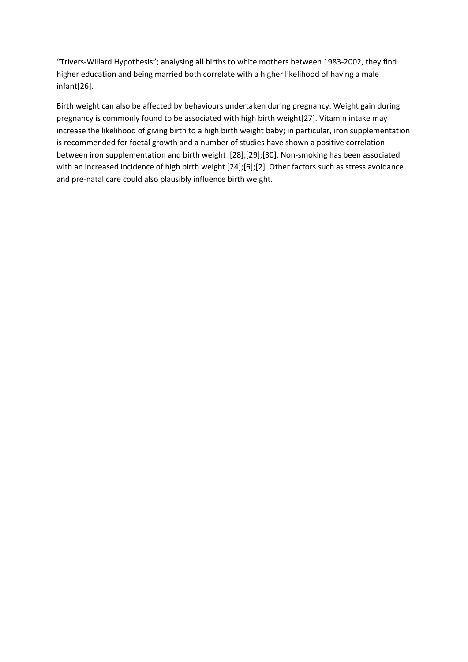"Trivers-Willard Hypothesis"; analysing all births to white mothers between 1983-2002, they find higher education and being married both correlate with a higher likelihood of having a male infant[\[26\]](#page-31-5).

Birth weight can also be affected by behaviours undertaken during pregnancy. Weight gain during pregnancy is commonly found to be associated with high birth weight[\[27\]](#page-31-6). Vitamin intake may increase the likelihood of giving birth to a high birth weight baby; in particular, iron supplementation is recommended for foetal growth and a number of studies have shown a positive correlation between iron supplementation and birth weight [\[28\]](#page-31-7);[\[29\]](#page-31-8);[\[30\]](#page-31-9). Non-smoking has been associated with an increased incidence of high birth weight [\[24\]](#page-31-3);[\[6\]](#page-30-5);[\[2\]](#page-30-1). Other factors such as stress avoidance and pre-natal care could also plausibly influence birth weight.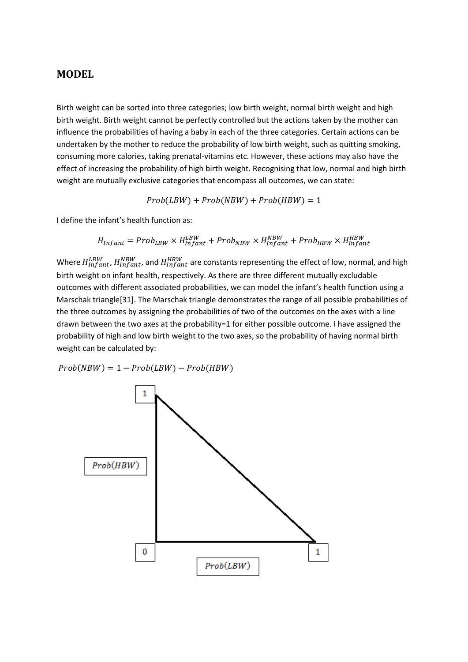#### **MODEL**

Birth weight can be sorted into three categories; low birth weight, normal birth weight and high birth weight. Birth weight cannot be perfectly controlled but the actions taken by the mother can influence the probabilities of having a baby in each of the three categories. Certain actions can be undertaken by the mother to reduce the probability of low birth weight, such as quitting smoking, consuming more calories, taking prenatal-vitamins etc. However, these actions may also have the effect of increasing the probability of high birth weight. Recognising that low, normal and high birth weight are mutually exclusive categories that encompass all outcomes, we can state:

 $Prob(LBW) + Prob(NBW) + Prob(HBW) = 1$ 

I define the infant's health function as:

$$
H_{Infant} = Prob_{LBW} \times H_{Infant}^{LBW} + Prob_{NBW} \times H_{Infant}^{NBW} + Prob_{HBW} \times H_{Infant}^{HBW}
$$

Where  $H_{Infant}^{LBW}$ ,  $H_{Infant}^{NBW}$ , and  $H_{Infant}^{HBW}$  are constants representing the effect of low, normal, and high birth weight on infant health, respectively. As there are three different mutually excludable outcomes with different associated probabilities, we can model the infant's health function using a Marschak triangle[\[31\]](#page-31-10). The Marschak triangle demonstrates the range of all possible probabilities of the three outcomes by assigning the probabilities of two of the outcomes on the axes with a line drawn between the two axes at the probability=1 for either possible outcome. I have assigned the probability of high and low birth weight to the two axes, so the probability of having normal birth weight can be calculated by:

 $Prob(NBW) = 1 - Prob(LBW) - Prob(HBW)$ 

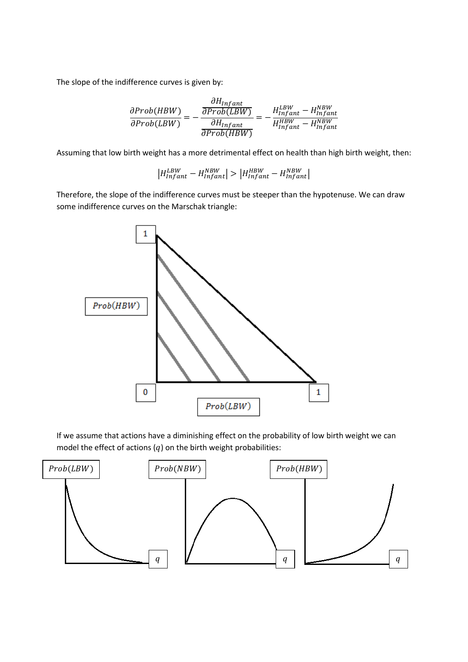The slope of the indifference curves is given by:

$$
\frac{\partial Prob(HBW)}{\partial Prob(LBW)} = -\frac{\frac{\partial H_{Infant}}{\partial Prob(LBW)}}{\frac{\partial H_{Infant}}{\partial Prob(HBW)}} = -\frac{H_{Infant}^{LBW} - H_{Infant}^{NBW}}{H_{Infant}^{HBW} - H_{Infant}^{NBW}}
$$

Assuming that low birth weight has a more detrimental effect on health than high birth weight, then:

$$
\left|H_{infant}^{LBW}-H_{infant}^{NBW}\right|>\left|H_{infant}^{HBW}-H_{infant}^{NBW}\right|
$$

Therefore, the slope of the indifference curves must be steeper than the hypotenuse. We can draw some indifference curves on the Marschak triangle:



If we assume that actions have a diminishing effect on the probability of low birth weight we can model the effect of actions  $(q)$  on the birth weight probabilities:

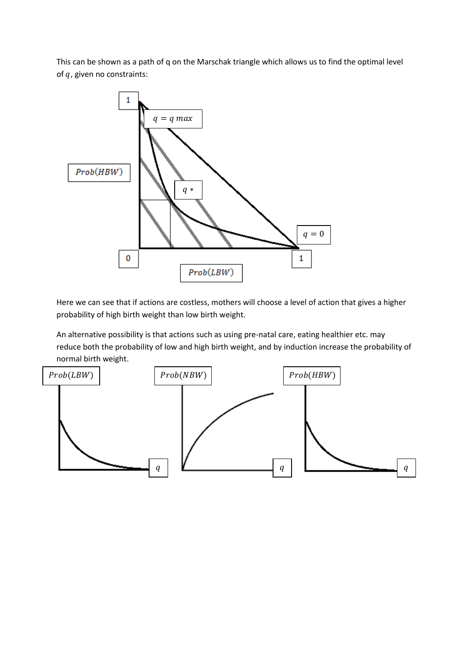This can be shown as a path of q on the Marschak triangle which allows us to find the optimal level of  $q$ , given no constraints:



Here we can see that if actions are costless, mothers will choose a level of action that gives a higher probability of high birth weight than low birth weight.

An alternative possibility is that actions such as using pre-natal care, eating healthier etc. may reduce both the probability of low and high birth weight, and by induction increase the probability of normal birth weight.

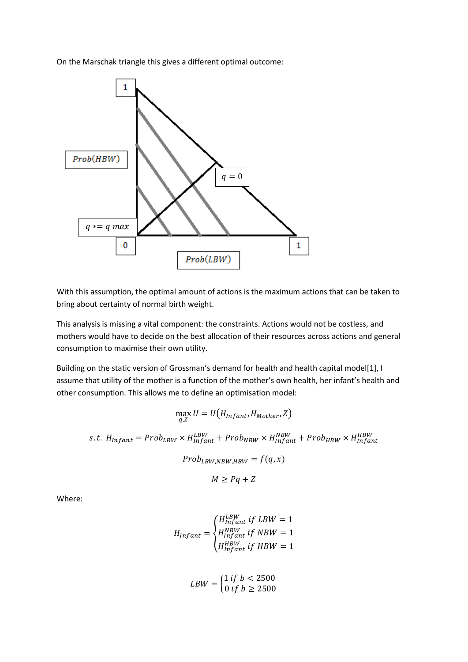On the Marschak triangle this gives a different optimal outcome:



With this assumption, the optimal amount of actions is the maximum actions that can be taken to bring about certainty of normal birth weight.

This analysis is missing a vital component: the constraints. Actions would not be costless, and mothers would have to decide on the best allocation of their resources across actions and general consumption to maximise their own utility.

Building on the static version of Grossman's demand for health and health capital model[\[1\]](#page-30-0), I assume that utility of the mother is a function of the mother's own health, her infant's health and other consumption. This allows me to define an optimisation model:

$$
\max_{q,Z} U = U\big(H_{Infant}, H_{Mother}, Z\big)
$$

s.t.  $H_{Infant} = Prob_{LBW} \times H_{Infant}^{LBW} + Prob_{NBW} \times H_{Infant}^{NBW} + Prob_{HBW} \times H_{Infant}^{HBW}$ 

 $Prob_{LBW.NBW.HBW} = f(q, x)$ 

 $M \geq Pa + Z$ 

Where:

$$
H_{Infant} = \begin{cases} H_{Infant}^{LBW} \text{ if } LBW = 1\\ H_{Infant}^{HBW} \text{ if } NBW = 1\\ H_{Infant}^{HBW} \text{ if } HBW = 1 \end{cases}
$$

$$
LBW = \begin{cases} 1 \text{ if } b < 2500 \\ 0 \text{ if } b \ge 2500 \end{cases}
$$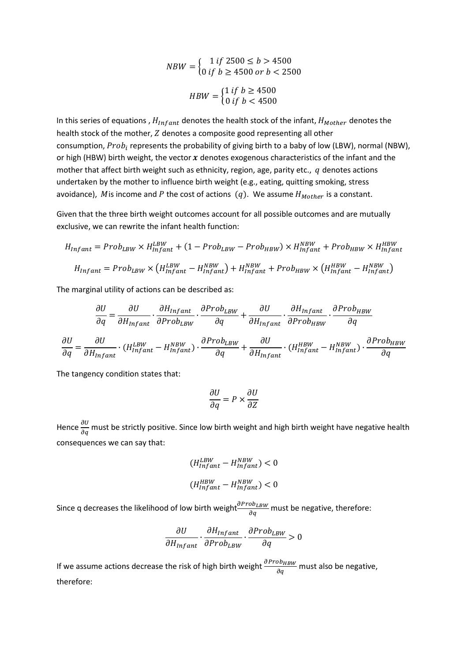$$
NBW = \begin{cases} 1 \text{ if } 2500 \le b > 4500 \\ 0 \text{ if } b \ge 4500 \text{ or } b < 2500 \end{cases}
$$

$$
HBW = \begin{cases} 1 \text{ if } b \ge 4500 \\ 0 \text{ if } b < 4500 \end{cases}
$$

In this series of equations,  $H_{Infant}$  denotes the health stock of the infant,  $H_{Mother}$  denotes the health stock of the mother, Z denotes a composite good representing all other consumption,  $Prob_i$  represents the probability of giving birth to a baby of low (LBW), normal (NBW), or high (HBW) birth weight, the vector  $x$  denotes exogenous characteristics of the infant and the mother that affect birth weight such as ethnicity, region, age, parity etc.,  $q$  denotes actions undertaken by the mother to influence birth weight (e.g., eating, quitting smoking, stress avoidance), Mis income and P the cost of actions  $(q)$ . We assume  $H_{Mother}$  is a constant.

Given that the three birth weight outcomes account for all possible outcomes and are mutually exclusive, we can rewrite the infant health function:

$$
H_{Infant} = Prob_{LBW} \times H_{Infant}^{LBW} + (1 - Prob_{LBW} - Prob_{HBW}) \times H_{Infant}^{NBW} + Prob_{HBW} \times H_{Infant}^{HBW}
$$
  

$$
H_{Infant} = Prob_{LBW} \times (H_{Infant}^{LBW} - H_{Infant}^{NBW}) + H_{Infant}^{NBW} + Prob_{HBW} \times (H_{Infant}^{HBW} - H_{Infant}^{NBW})
$$

The marginal utility of actions can be described as:

$$
\frac{\partial U}{\partial q} = \frac{\partial U}{\partial H_{infant}} \cdot \frac{\partial H_{infant}}{\partial Prob_{LBW}} \cdot \frac{\partial Prob_{LBW}}{\partial q} + \frac{\partial U}{\partial H_{infant}} \cdot \frac{\partial H_{infant}}{\partial Prob_{HBW}} \cdot \frac{\partial Prob_{HBW}}{\partial q}
$$

$$
\frac{\partial U}{\partial q} = \frac{\partial U}{\partial H_{infant}} \cdot (H_{infant}^{LBW} - H_{infant}^{NBW}) \cdot \frac{\partial Prob_{LBW}}{\partial q} + \frac{\partial U}{\partial H_{infant}} \cdot (H_{infant}^{HBW} - H_{infant}^{NBW}) \cdot \frac{\partial Prob_{HBW}}{\partial q}
$$

The tangency condition states that:

$$
\frac{\partial U}{\partial q} = P \times \frac{\partial U}{\partial Z}
$$

Hence  $\frac{\partial U}{\partial q}$  must be strictly positive. Since low birth weight and high birth weight have negative health consequences we can say that:

$$
(H_{infant}^{LBW} - H_{infant}^{NBW}) < 0
$$
\n
$$
(H_{infant}^{HBW} - H_{infant}^{NBW}) < 0
$$

Since q decreases the likelihood of low birth weight $\frac{\partial Prob_{LBW}}{\partial q}$  must be negative, therefore:

$$
\frac{\partial U}{\partial H_{Infant}} \cdot \frac{\partial H_{Infant}}{\partial Prob_{LBW}} \cdot \frac{\partial Prob_{LBW}}{\partial q} > 0
$$

If we assume actions decrease the risk of high birth weight  $\frac{\partial ProB_{HBW}}{\partial q}$  must also be negative, therefore: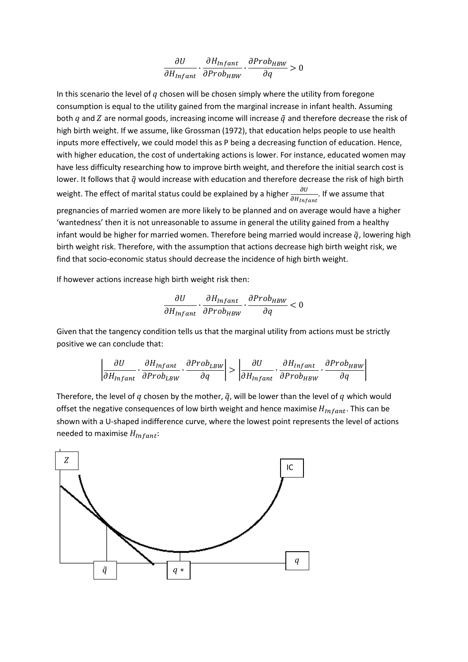$$
\frac{\partial U}{\partial H_{Infant}} \cdot \frac{\partial H_{Infant}}{\partial Prob_{HBW}} \cdot \frac{\partial Prob_{HBW}}{\partial q} > 0
$$

In this scenario the level of  $q$  chosen will be chosen simply where the utility from foregone consumption is equal to the utility gained from the marginal increase in infant health. Assuming both q and Z are normal goods, increasing income will increase  $\tilde{q}$  and therefore decrease the risk of high birth weight. If we assume, like Grossman (1972), that education helps people to use health inputs more effectively, we could model this as P being a decreasing function of education. Hence, with higher education, the cost of undertaking actions is lower. For instance, educated women may have less difficulty researching how to improve birth weight, and therefore the initial search cost is lower. It follows that  $\tilde{q}$  would increase with education and therefore decrease the risk of high birth weight. The effect of marital status could be explained by a higher  $\frac{\partial U}{\partial x}$ 0H<sub>Infant</sub> . If we assume that pregnancies of married women are more likely to be planned and on average would have a higher 'wantedness' then it is not unreasonable to assume in general the utility gained from a healthy infant would be higher for married women. Therefore being married would increase  $\tilde{q}$ , lowering high birth weight risk. Therefore, with the assumption that actions decrease high birth weight risk, we find that socio-economic status should decrease the incidence of high birth weight.

If however actions increase high birth weight risk then:

$$
\frac{\partial U}{\partial H_{Infant}} \cdot \frac{\partial H_{Infant}}{\partial Prob_{HBW}} \cdot \frac{\partial Prob_{HBW}}{\partial q} < 0
$$

Given that the tangency condition tells us that the marginal utility from actions must be strictly positive we can conclude that:

$$
\left|\frac{\partial U}{\partial H_{Infant}}\cdot\frac{\partial H_{Infant}}{\partial Prob_{LBW}}\cdot\frac{\partial Prob_{LBW}}{\partial q}\right|>\left|\frac{\partial U}{\partial H_{Infant}}\cdot\frac{\partial H_{Infant}}{\partial Prob_{HBW}}\cdot\frac{\partial Prob_{HBW}}{\partial q}\right|
$$

Therefore, the level of q chosen by the mother,  $\tilde{q}$ , will be lower than the level of q which would offset the negative consequences of low birth weight and hence maximise  $H_{Infant}$ . This can be shown with a U-shaped indifference curve, where the lowest point represents the level of actions needed to maximise  $H_{Infant}$ :

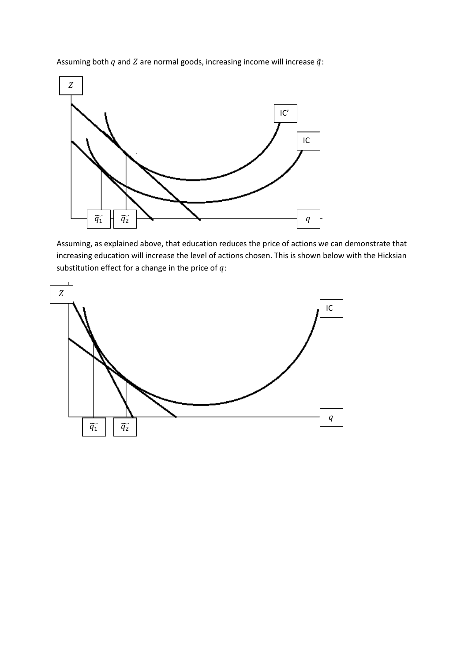Assuming both  $q$  and  $Z$  are normal goods, increasing income will increase  $\tilde{q}$ :



Assuming, as explained above, that education reduces the price of actions we can demonstrate that increasing education will increase the level of actions chosen. This is shown below with the Hicksian substitution effect for a change in the price of  $q$ :

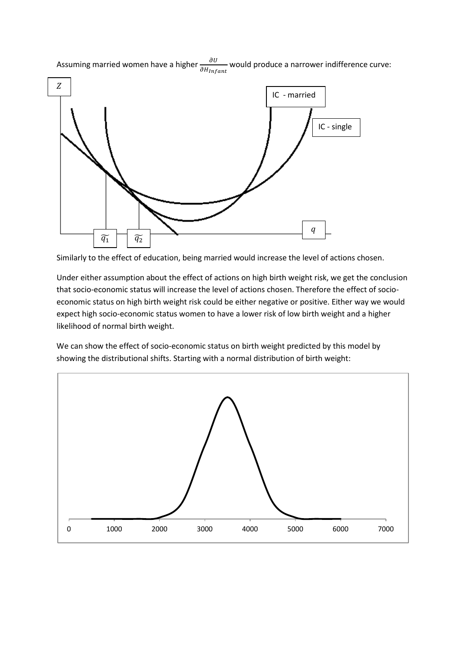

Assuming married women have a higher  $\frac{\partial U}{\partial x}$ 0H<sub>Infant</sub> would produce a narrower indifference curve:

Similarly to the effect of education, being married would increase the level of actions chosen.

Under either assumption about the effect of actions on high birth weight risk, we get the conclusion that socio-economic status will increase the level of actions chosen. Therefore the effect of socioeconomic status on high birth weight risk could be either negative or positive. Either way we would expect high socio-economic status women to have a lower risk of low birth weight and a higher likelihood of normal birth weight.

We can show the effect of socio-economic status on birth weight predicted by this model by showing the distributional shifts. Starting with a normal distribution of birth weight:

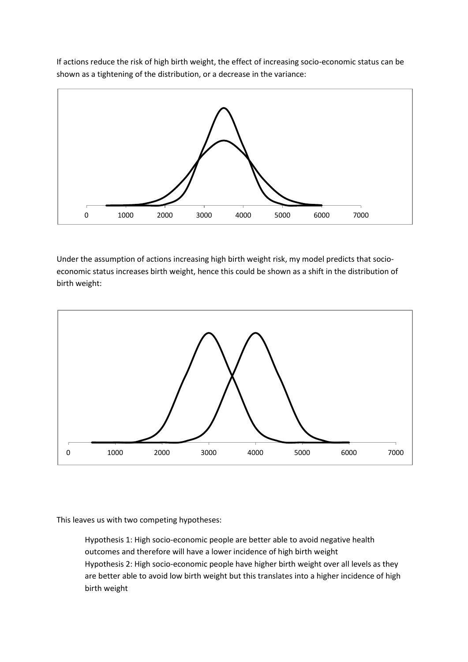If actions reduce the risk of high birth weight, the effect of increasing socio-economic status can be shown as a tightening of the distribution, or a decrease in the variance:



Under the assumption of actions increasing high birth weight risk, my model predicts that socioeconomic status increases birth weight, hence this could be shown as a shift in the distribution of birth weight:



This leaves us with two competing hypotheses:

Hypothesis 1: High socio-economic people are better able to avoid negative health outcomes and therefore will have a lower incidence of high birth weight Hypothesis 2: High socio-economic people have higher birth weight over all levels as they are better able to avoid low birth weight but this translates into a higher incidence of high birth weight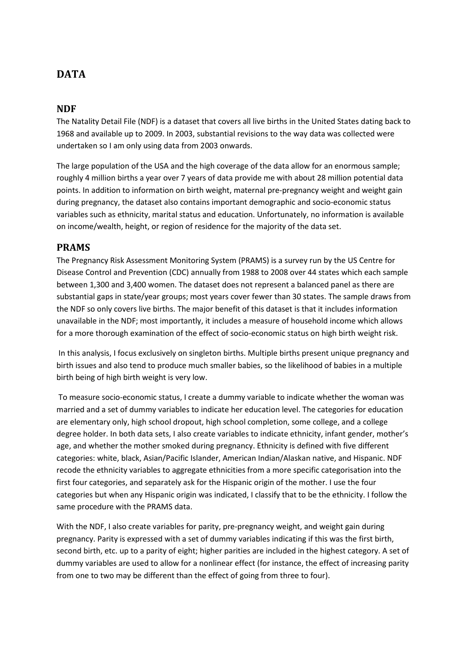# **DATA**

#### **NDF**

The Natality Detail File (NDF) is a dataset that covers all live births in the United States dating back to 1968 and available up to 2009. In 2003, substantial revisions to the way data was collected were undertaken so I am only using data from 2003 onwards.

The large population of the USA and the high coverage of the data allow for an enormous sample; roughly 4 million births a year over 7 years of data provide me with about 28 million potential data points. In addition to information on birth weight, maternal pre-pregnancy weight and weight gain during pregnancy, the dataset also contains important demographic and socio-economic status variables such as ethnicity, marital status and education. Unfortunately, no information is available on income/wealth, height, or region of residence for the majority of the data set.

#### **PRAMS**

The Pregnancy Risk Assessment Monitoring System (PRAMS) is a survey run by the US Centre for Disease Control and Prevention (CDC) annually from 1988 to 2008 over 44 states which each sample between 1,300 and 3,400 women. The dataset does not represent a balanced panel as there are substantial gaps in state/year groups; most years cover fewer than 30 states. The sample draws from the NDF so only covers live births. The major benefit of this dataset is that it includes information unavailable in the NDF; most importantly, it includes a measure of household income which allows for a more thorough examination of the effect of socio-economic status on high birth weight risk.

In this analysis, I focus exclusively on singleton births. Multiple births present unique pregnancy and birth issues and also tend to produce much smaller babies, so the likelihood of babies in a multiple birth being of high birth weight is very low.

To measure socio-economic status, I create a dummy variable to indicate whether the woman was married and a set of dummy variables to indicate her education level. The categories for education are elementary only, high school dropout, high school completion, some college, and a college degree holder. In both data sets, I also create variables to indicate ethnicity, infant gender, mother's age, and whether the mother smoked during pregnancy. Ethnicity is defined with five different categories: white, black, Asian/Pacific Islander, American Indian/Alaskan native, and Hispanic. NDF recode the ethnicity variables to aggregate ethnicities from a more specific categorisation into the first four categories, and separately ask for the Hispanic origin of the mother. I use the four categories but when any Hispanic origin was indicated, I classify that to be the ethnicity. I follow the same procedure with the PRAMS data.

With the NDF, I also create variables for parity, pre-pregnancy weight, and weight gain during pregnancy. Parity is expressed with a set of dummy variables indicating if this was the first birth, second birth, etc. up to a parity of eight; higher parities are included in the highest category. A set of dummy variables are used to allow for a nonlinear effect (for instance, the effect of increasing parity from one to two may be different than the effect of going from three to four).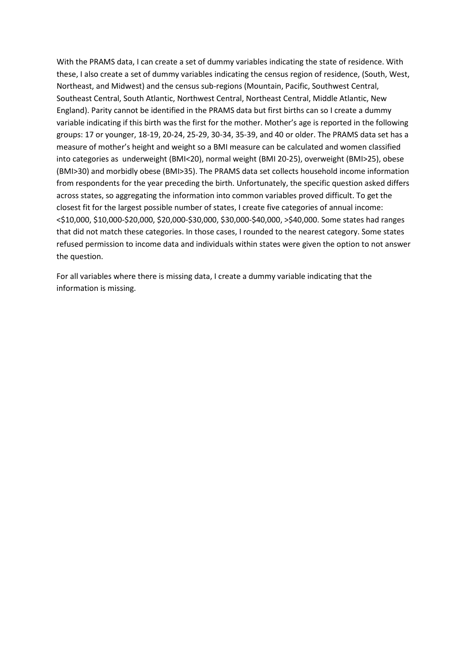With the PRAMS data, I can create a set of dummy variables indicating the state of residence. With these, I also create a set of dummy variables indicating the census region of residence, (South, West, Northeast, and Midwest) and the census sub-regions (Mountain, Pacific, Southwest Central, Southeast Central, South Atlantic, Northwest Central, Northeast Central, Middle Atlantic, New England). Parity cannot be identified in the PRAMS data but first births can so I create a dummy variable indicating if this birth was the first for the mother. Mother's age is reported in the following groups: 17 or younger, 18-19, 20-24, 25-29, 30-34, 35-39, and 40 or older. The PRAMS data set has a measure of mother's height and weight so a BMI measure can be calculated and women classified into categories as underweight (BMI<20), normal weight (BMI 20-25), overweight (BMI>25), obese (BMI>30) and morbidly obese (BMI>35). The PRAMS data set collects household income information from respondents for the year preceding the birth. Unfortunately, the specific question asked differs across states, so aggregating the information into common variables proved difficult. To get the closest fit for the largest possible number of states, I create five categories of annual income: <\$10,000, \$10,000-\$20,000, \$20,000-\$30,000, \$30,000-\$40,000, >\$40,000. Some states had ranges that did not match these categories. In those cases, I rounded to the nearest category. Some states refused permission to income data and individuals within states were given the option to not answer the question.

For all variables where there is missing data, I create a dummy variable indicating that the information is missing.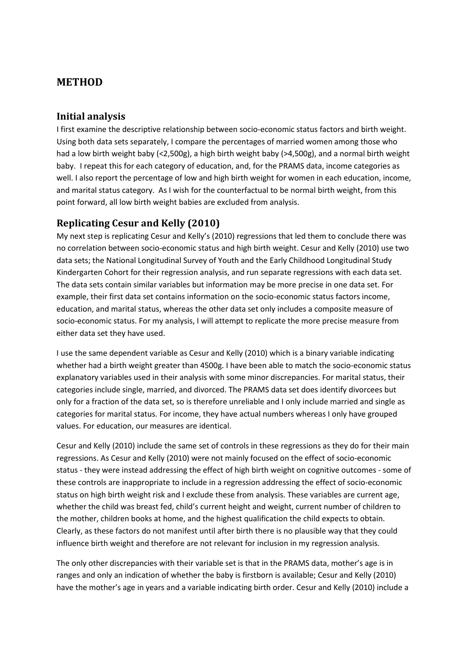# **METHOD**

### **Initial analysis**

I first examine the descriptive relationship between socio-economic status factors and birth weight. Using both data sets separately, I compare the percentages of married women among those who had a low birth weight baby (<2,500g), a high birth weight baby (>4,500g), and a normal birth weight baby. I repeat this for each category of education, and, for the PRAMS data, income categories as well. I also report the percentage of low and high birth weight for women in each education, income, and marital status category. As I wish for the counterfactual to be normal birth weight, from this point forward, all low birth weight babies are excluded from analysis.

## **Replicating Cesur and Kelly (2010)**

My next step is replicating Cesur and Kelly's (2010) regressions that led them to conclude there was no correlation between socio-economic status and high birth weight. Cesur and Kelly (2010) use two data sets; the National Longitudinal Survey of Youth and the Early Childhood Longitudinal Study Kindergarten Cohort for their regression analysis, and run separate regressions with each data set. The data sets contain similar variables but information may be more precise in one data set. For example, their first data set contains information on the socio-economic status factors income, education, and marital status, whereas the other data set only includes a composite measure of socio-economic status. For my analysis, I will attempt to replicate the more precise measure from either data set they have used.

I use the same dependent variable as Cesur and Kelly (2010) which is a binary variable indicating whether had a birth weight greater than 4500g. I have been able to match the socio-economic status explanatory variables used in their analysis with some minor discrepancies. For marital status, their categories include single, married, and divorced. The PRAMS data set does identify divorcees but only for a fraction of the data set, so is therefore unreliable and I only include married and single as categories for marital status. For income, they have actual numbers whereas I only have grouped values. For education, our measures are identical.

Cesur and Kelly (2010) include the same set of controls in these regressions as they do for their main regressions. As Cesur and Kelly (2010) were not mainly focused on the effect of socio-economic status - they were instead addressing the effect of high birth weight on cognitive outcomes - some of these controls are inappropriate to include in a regression addressing the effect of socio-economic status on high birth weight risk and I exclude these from analysis. These variables are current age, whether the child was breast fed, child's current height and weight, current number of children to the mother, children books at home, and the highest qualification the child expects to obtain. Clearly, as these factors do not manifest until after birth there is no plausible way that they could influence birth weight and therefore are not relevant for inclusion in my regression analysis.

The only other discrepancies with their variable set is that in the PRAMS data, mother's age is in ranges and only an indication of whether the baby is firstborn is available; Cesur and Kelly (2010) have the mother's age in years and a variable indicating birth order. Cesur and Kelly (2010) include a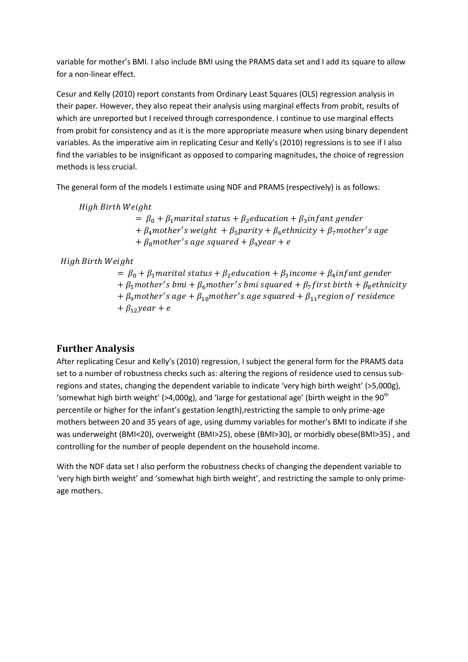variable for mother's BMI. I also include BMI using the PRAMS data set and I add its square to allow for a non-linear effect.

Cesur and Kelly (2010) report constants from Ordinary Least Squares (OLS) regression analysis in their paper. However, they also repeat their analysis using marginal effects from probit, results of which are unreported but I received through correspondence. I continue to use marginal effects from probit for consistency and as it is the more appropriate measure when using binary dependent variables. As the imperative aim in replicating Cesur and Kelly's (2010) regressions is to see if I also find the variables to be insignificant as opposed to comparing magnitudes, the choice of regression methods is less crucial.

The general form of the models I estimate using NDF and PRAMS (respectively) is as follows:

High Birth Weight  $= \beta_0 + \beta_1$  marital status +  $\beta_2$ education +  $\beta_3$  infant gender +  $\beta_4$ mother's weight +  $\beta_5$ parity +  $\beta_6$ ethnicity +  $\beta_7$ mother's age  $+$   $\beta_8$ mother's age squared  $+$   $\beta_9$ year  $+$  e

#### High Birth Weight

 $= \beta_0 + \beta_1$  marital status +  $\beta_2$  education +  $\beta_3$  income +  $\beta_4$  infant gender +  $\beta_5$ mother's bmi +  $\beta_6$ mother's bmi squared +  $\beta_7$ first birth +  $\beta_8$ ethnicity +  $\beta_9$ mother's age +  $\beta_{10}$ mother's age squared +  $\beta_{11}$ region of residence  $+ \beta_{12}$ year + e

## **Further Analysis**

After replicating Cesur and Kelly's (2010) regression, I subject the general form for the PRAMS data set to a number of robustness checks such as: altering the regions of residence used to census subregions and states, changing the dependent variable to indicate 'very high birth weight' (>5,000g), 'somewhat high birth weight' (>4,000g), and 'large for gestational age' (birth weight in the 90<sup>th</sup> percentile or higher for the infant's gestation length),restricting the sample to only prime-age mothers between 20 and 35 years of age, using dummy variables for mother's BMI to indicate if she was underweight (BMI<20), overweight (BMI>25), obese (BMI>30), or morbidly obese(BMI>35) , and controlling for the number of people dependent on the household income.

With the NDF data set I also perform the robustness checks of changing the dependent variable to 'very high birth weight' and 'somewhat high birth weight', and restricting the sample to only primeage mothers.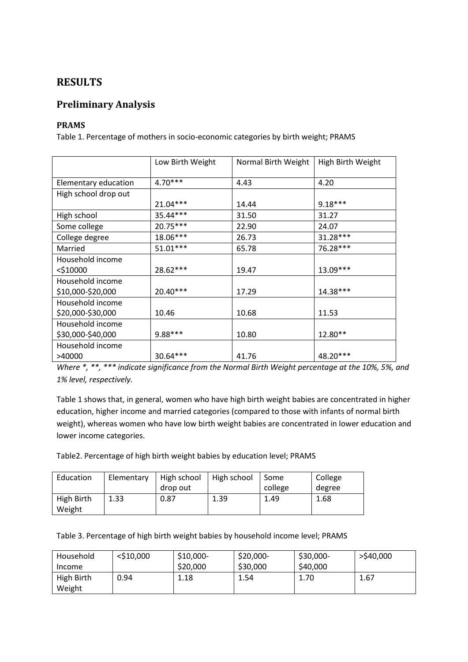# **RESULTS**

## **Preliminary Analysis**

#### **PRAMS**

Table 1. Percentage of mothers in socio-economic categories by birth weight; PRAMS

|                      | Low Birth Weight | Normal Birth Weight | High Birth Weight |
|----------------------|------------------|---------------------|-------------------|
| Elementary education | $4.70***$        | 4.43                | 4.20              |
| High school drop out |                  |                     |                   |
|                      | 21.04***         | 14.44               | $9.18***$         |
| High school          | 35.44***         | 31.50               | 31.27             |
| Some college         | $20.75***$       | 22.90               | 24.07             |
| College degree       | 18.06***         | 26.73               | $31.28***$        |
| Married              | $51.01***$       | 65.78               | 76.28***          |
| Household income     |                  |                     |                   |
| $<$ \$10000          | 28.62***         | 19.47               | 13.09***          |
| Household income     |                  |                     |                   |
| \$10,000-\$20,000    | 20.40***         | 17.29               | 14.38***          |
| Household income     |                  |                     |                   |
| \$20,000-\$30,000    | 10.46            | 10.68               | 11.53             |
| Household income     |                  |                     |                   |
| \$30,000-\$40,000    | 9.88***          | 10.80               | 12.80**           |
| Household income     |                  |                     |                   |
| >40000               | 30.64***         | 41.76               | 48.20***          |

*Where \*, \*\*, \*\*\* indicate significance from the Normal Birth Weight percentage at the 10%, 5%, and 1% level, respectively.*

Table 1 shows that, in general, women who have high birth weight babies are concentrated in higher education, higher income and married categories (compared to those with infants of normal birth weight), whereas women who have low birth weight babies are concentrated in lower education and lower income categories.

Table2. Percentage of high birth weight babies by education level; PRAMS

| Education  | Elementary | High school | High school | Some    | College |
|------------|------------|-------------|-------------|---------|---------|
|            |            | drop out    |             | college | degree  |
| High Birth | 1.33       | 0.87        | 1.39        | 1.49    | 1.68    |
| Weight     |            |             |             |         |         |

Table 3. Percentage of high birth weight babies by household income level; PRAMS

| Household  | $<$ \$10,000 | \$10,000- | \$20,000- | \$30,000- | >\$40,000 |
|------------|--------------|-----------|-----------|-----------|-----------|
| Income     |              | \$20,000  | \$30,000  | \$40,000  |           |
| High Birth | 0.94         | 1.18      | 1.54      | 1.70      | 1.67      |
| Weight     |              |           |           |           |           |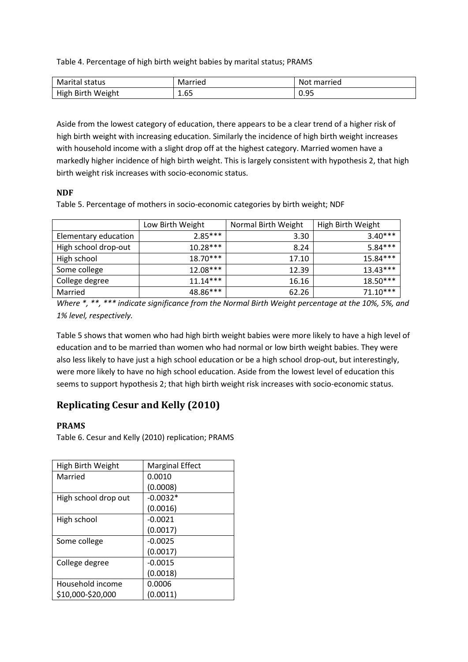Table 4. Percentage of high birth weight babies by marital status; PRAMS

| Marital<br>status              | Married | married<br>No J       |
|--------------------------------|---------|-----------------------|
| <b>Birth</b><br>High<br>Weight | 1.65    | $\sim$ $\sim$<br>ບ.ບປ |

Aside from the lowest category of education, there appears to be a clear trend of a higher risk of high birth weight with increasing education. Similarly the incidence of high birth weight increases with household income with a slight drop off at the highest category. Married women have a markedly higher incidence of high birth weight. This is largely consistent with hypothesis 2, that high birth weight risk increases with socio-economic status.

#### **NDF**

Table 5. Percentage of mothers in socio-economic categories by birth weight; NDF

|                      | Low Birth Weight | Normal Birth Weight | High Birth Weight |
|----------------------|------------------|---------------------|-------------------|
| Elementary education | $2.85***$        | 3.30                | $3.40***$         |
| High school drop-out | $10.28***$       | 8.24                | $5.84***$         |
| High school          | $18.70***$       | 17.10               | $15.84***$        |
| Some college         | $12.08***$       | 12.39               | $13.43***$        |
| College degree       | $11.14***$       | 16.16               | $18.50***$        |
| Married              | 48.86***         | 62.26               | $71.10***$        |

*Where \*, \*\*, \*\*\* indicate significance from the Normal Birth Weight percentage at the 10%, 5%, and 1% level, respectively.*

Table 5 shows that women who had high birth weight babies were more likely to have a high level of education and to be married than women who had normal or low birth weight babies. They were also less likely to have just a high school education or be a high school drop-out, but interestingly, were more likely to have no high school education. Aside from the lowest level of education this seems to support hypothesis 2; that high birth weight risk increases with socio-economic status.

# **Replicating Cesur and Kelly (2010)**

#### **PRAMS**

Table 6. Cesur and Kelly (2010) replication; PRAMS

| High Birth Weight    | <b>Marginal Effect</b> |
|----------------------|------------------------|
| Married              | 0.0010                 |
|                      | (0.0008)               |
| High school drop out | $-0.0032*$             |
|                      | (0.0016)               |
| High school          | $-0.0021$              |
|                      | (0.0017)               |
| Some college         | $-0.0025$              |
|                      | (0.0017)               |
| College degree       | $-0.0015$              |
|                      | (0.0018)               |
| Household income     | 0.0006                 |
| \$10,000-\$20,000    | (0.0011)               |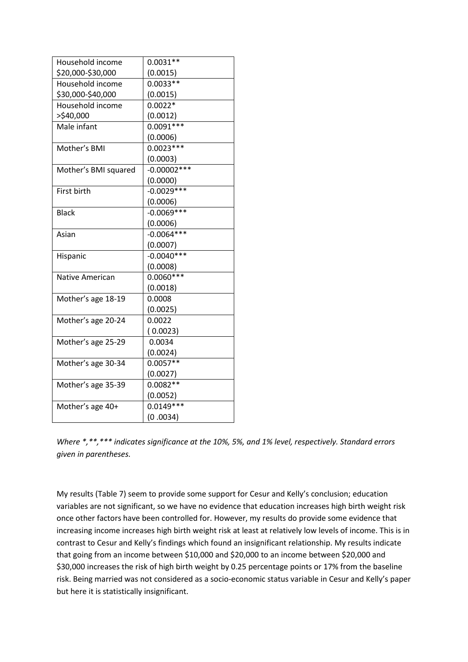| Household income     | $0.0031**$     |
|----------------------|----------------|
| \$20,000-\$30,000    | (0.0015)       |
| Household income     | $0.0033**$     |
| \$30,000-\$40,000    | (0.0015)       |
| Household income     | $0.0022*$      |
| >\$40,000            | (0.0012)       |
| Male infant          | $0.0091***$    |
|                      | (0.0006)       |
| Mother's BMI         | $0.0023***$    |
|                      | (0.0003)       |
| Mother's BMI squared | $-0.00002$ *** |
|                      | (0.0000)       |
| First birth          | $-0.0029***$   |
|                      | (0.0006)       |
| <b>Black</b>         | $-0.0069***$   |
|                      | (0.0006)       |
| Asian                | $-0.0064***$   |
|                      | (0.0007)       |
| Hispanic             | $-0.0040***$   |
|                      | (0.0008)       |
| Native American      | $0.0060***$    |
|                      | (0.0018)       |
| Mother's age 18-19   | 0.0008         |
|                      | (0.0025)       |
| Mother's age 20-24   | 0.0022         |
|                      | (0.0023)       |
| Mother's age 25-29   | 0.0034         |
|                      | (0.0024)       |
| Mother's age 30-34   | $0.0057**$     |
|                      | (0.0027)       |
| Mother's age 35-39   | $0.0082**$     |
|                      | (0.0052)       |
| Mother's age 40+     | $0.0149***$    |
|                      | (0.0034)       |

*Where \*,\*\*,\*\*\* indicates significance at the 10%, 5%, and 1% level, respectively. Standard errors given in parentheses.*

My results (Table 7) seem to provide some support for Cesur and Kelly's conclusion; education variables are not significant, so we have no evidence that education increases high birth weight risk once other factors have been controlled for. However, my results do provide some evidence that increasing income increases high birth weight risk at least at relatively low levels of income. This is in contrast to Cesur and Kelly's findings which found an insignificant relationship. My results indicate that going from an income between \$10,000 and \$20,000 to an income between \$20,000 and \$30,000 increases the risk of high birth weight by 0.25 percentage points or 17% from the baseline risk. Being married was not considered as a socio-economic status variable in Cesur and Kelly's paper but here it is statistically insignificant.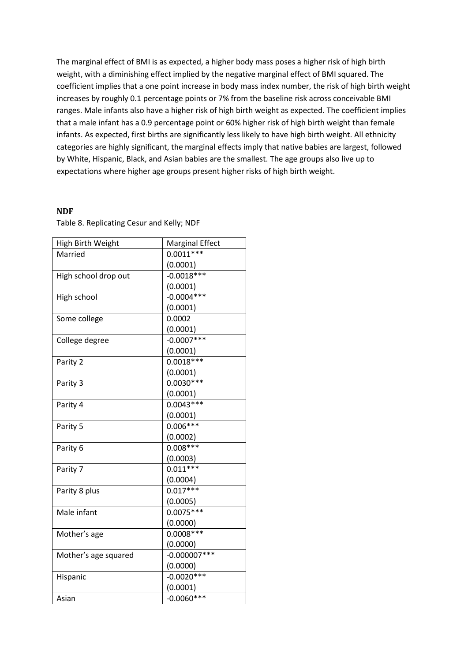The marginal effect of BMI is as expected, a higher body mass poses a higher risk of high birth weight, with a diminishing effect implied by the negative marginal effect of BMI squared. The coefficient implies that a one point increase in body mass index number, the risk of high birth weight increases by roughly 0.1 percentage points or 7% from the baseline risk across conceivable BMI ranges. Male infants also have a higher risk of high birth weight as expected. The coefficient implies that a male infant has a 0.9 percentage point or 60% higher risk of high birth weight than female infants. As expected, first births are significantly less likely to have high birth weight. All ethnicity categories are highly significant, the marginal effects imply that native babies are largest, followed by White, Hispanic, Black, and Asian babies are the smallest. The age groups also live up to expectations where higher age groups present higher risks of high birth weight.

#### **NDF**

Table 8. Replicating Cesur and Kelly; NDF

| High Birth Weight    | <b>Marginal Effect</b> |
|----------------------|------------------------|
| Married              | $0.0011***$            |
|                      | (0.0001)               |
| High school drop out | $-0.0018***$           |
|                      | (0.0001)               |
| High school          | $-0.0004***$           |
|                      | (0.0001)               |
| Some college         | 0.0002                 |
|                      | (0.0001)               |
| College degree       | $-0.0007$ ***          |
|                      | (0.0001)               |
| Parity 2             | $0.0018***$            |
|                      | (0.0001)               |
| Parity 3             | $0.0030***$            |
|                      | (0.0001)               |
| Parity 4             | $0.0043***$            |
|                      | (0.0001)               |
| Parity 5             | $0.006***$             |
|                      | (0.0002)               |
| Parity 6             | $0.008***$             |
|                      | (0.0003)               |
| Parity 7             | $0.011***$             |
|                      | (0.0004)               |
| Parity 8 plus        | $0.017***$             |
|                      | (0.0005)               |
| Male infant          | $0.0075***$            |
|                      | (0.0000)               |
| Mother's age         | $0.0008***$            |
|                      | (0.0000)               |
| Mother's age squared | $-0.000007$ ***        |
|                      | (0.0000)               |
| Hispanic             | $-0.0020***$           |
|                      | (0.0001)               |
| Asian                | $-0.0060***$           |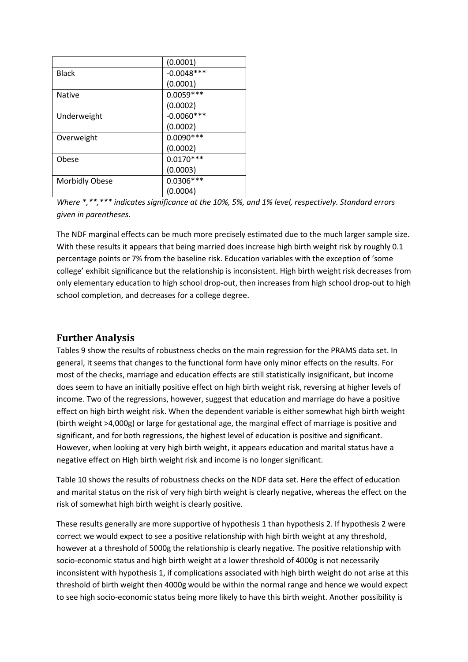|                       | (0.0001)      |
|-----------------------|---------------|
| <b>Black</b>          | $-0.0048$ *** |
|                       | (0.0001)      |
| <b>Native</b>         | $0.0059***$   |
|                       | (0.0002)      |
| Underweight           | $-0.0060$ *** |
|                       | (0.0002)      |
| Overweight            | $0.0090***$   |
|                       | (0.0002)      |
| Obese                 | $0.0170***$   |
|                       | (0.0003)      |
| <b>Morbidly Obese</b> | $0.0306***$   |
|                       | (0.0004)      |

*Where \*,\*\*,\*\*\* indicates significance at the 10%, 5%, and 1% level, respectively. Standard errors given in parentheses.*

The NDF marginal effects can be much more precisely estimated due to the much larger sample size. With these results it appears that being married does increase high birth weight risk by roughly 0.1 percentage points or 7% from the baseline risk. Education variables with the exception of 'some college' exhibit significance but the relationship is inconsistent. High birth weight risk decreases from only elementary education to high school drop-out, then increases from high school drop-out to high school completion, and decreases for a college degree.

## **Further Analysis**

Tables 9 show the results of robustness checks on the main regression for the PRAMS data set. In general, it seems that changes to the functional form have only minor effects on the results. For most of the checks, marriage and education effects are still statistically insignificant, but income does seem to have an initially positive effect on high birth weight risk, reversing at higher levels of income. Two of the regressions, however, suggest that education and marriage do have a positive effect on high birth weight risk. When the dependent variable is either somewhat high birth weight (birth weight >4,000g) or large for gestational age, the marginal effect of marriage is positive and significant, and for both regressions, the highest level of education is positive and significant. However, when looking at very high birth weight, it appears education and marital status have a negative effect on High birth weight risk and income is no longer significant.

Table 10 shows the results of robustness checks on the NDF data set. Here the effect of education and marital status on the risk of very high birth weight is clearly negative, whereas the effect on the risk of somewhat high birth weight is clearly positive.

These results generally are more supportive of hypothesis 1 than hypothesis 2. If hypothesis 2 were correct we would expect to see a positive relationship with high birth weight at any threshold, however at a threshold of 5000g the relationship is clearly negative. The positive relationship with socio-economic status and high birth weight at a lower threshold of 4000g is not necessarily inconsistent with hypothesis 1, if complications associated with high birth weight do not arise at this threshold of birth weight then 4000g would be within the normal range and hence we would expect to see high socio-economic status being more likely to have this birth weight. Another possibility is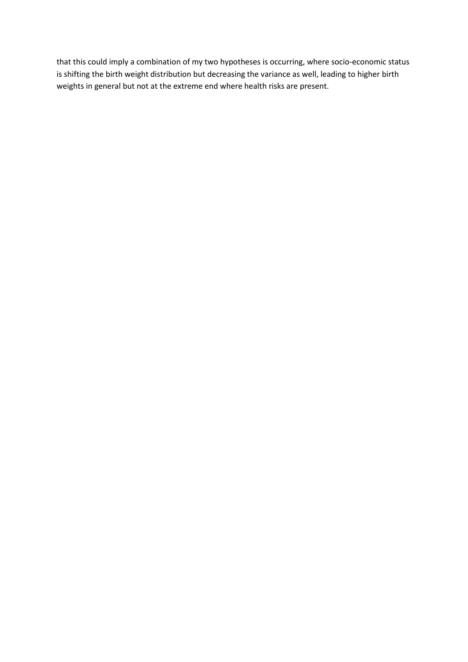that this could imply a combination of my two hypotheses is occurring, where socio-economic status is shifting the birth weight distribution but decreasing the variance as well, leading to higher birth weights in general but not at the extreme end where health risks are present.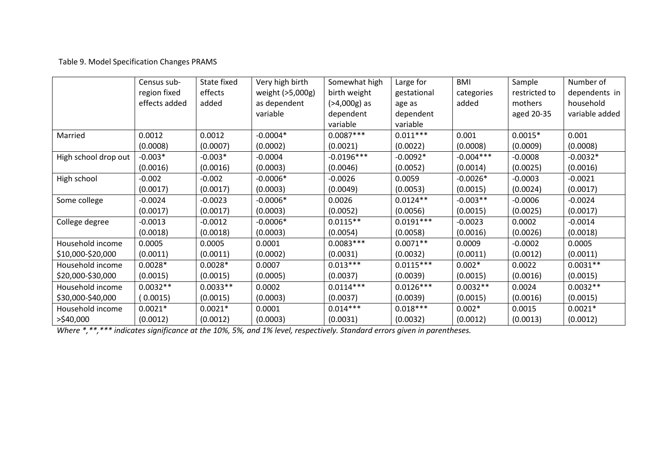## Table 9. Model Specification Changes PRAMS

|                      | Census sub-   | State fixed | Very high birth  | Somewhat high  | Large for   | <b>BMI</b>  | Sample        | Number of      |
|----------------------|---------------|-------------|------------------|----------------|-------------|-------------|---------------|----------------|
|                      | region fixed  | effects     | weight (>5,000g) | birth weight   | gestational | categories  | restricted to | dependents in  |
|                      | effects added | added       | as dependent     | $(>4,000g)$ as | age as      | added       | mothers       | household      |
|                      |               |             | variable         | dependent      | dependent   |             | aged 20-35    | variable added |
|                      |               |             |                  | variable       | variable    |             |               |                |
| Married              | 0.0012        | 0.0012      | $-0.0004*$       | $0.0087***$    | $0.011***$  | 0.001       | $0.0015*$     | 0.001          |
|                      | (0.0008)      | (0.0007)    | (0.0002)         | (0.0021)       | (0.0022)    | (0.0008)    | (0.0009)      | (0.0008)       |
| High school drop out | $-0.003*$     | $-0.003*$   | $-0.0004$        | $-0.0196***$   | $-0.0092*$  | $-0.004***$ | $-0.0008$     | $-0.0032*$     |
|                      | (0.0016)      | (0.0016)    | (0.0003)         | (0.0046)       | (0.0052)    | (0.0014)    | (0.0025)      | (0.0016)       |
| High school          | $-0.002$      | $-0.002$    | $-0.0006*$       | $-0.0026$      | 0.0059      | $-0.0026*$  | $-0.0003$     | $-0.0021$      |
|                      | (0.0017)      | (0.0017)    | (0.0003)         | (0.0049)       | (0.0053)    | (0.0015)    | (0.0024)      | (0.0017)       |
| Some college         | $-0.0024$     | $-0.0023$   | $-0.0006*$       | 0.0026         | $0.0124**$  | $-0.003**$  | $-0.0006$     | $-0.0024$      |
|                      | (0.0017)      | (0.0017)    | (0.0003)         | (0.0052)       | (0.0056)    | (0.0015)    | (0.0025)      | (0.0017)       |
| College degree       | $-0.0013$     | $-0.0012$   | $-0.0006*$       | $0.0115**$     | $0.0191***$ | $-0.0023$   | 0.0002        | $-0.0014$      |
|                      | (0.0018)      | (0.0018)    | (0.0003)         | (0.0054)       | (0.0058)    | (0.0016)    | (0.0026)      | (0.0018)       |
| Household income     | 0.0005        | 0.0005      | 0.0001           | $0.0083***$    | $0.0071**$  | 0.0009      | $-0.0002$     | 0.0005         |
| \$10,000-\$20,000    | (0.0011)      | (0.0011)    | (0.0002)         | (0.0031)       | (0.0032)    | (0.0011)    | (0.0012)      | (0.0011)       |
| Household income     | $0.0028*$     | $0.0028*$   | 0.0007           | $0.013***$     | $0.0115***$ | $0.002*$    | 0.0022        | $0.0031**$     |
| \$20,000-\$30,000    | (0.0015)      | (0.0015)    | (0.0005)         | (0.0037)       | (0.0039)    | (0.0015)    | (0.0016)      | (0.0015)       |
| Household income     | $0.0032**$    | $0.0033**$  | 0.0002           | $0.0114***$    | $0.0126***$ | $0.0032**$  | 0.0024        | $0.0032**$     |
| \$30,000-\$40,000    | (0.0015)      | (0.0015)    | (0.0003)         | (0.0037)       | (0.0039)    | (0.0015)    | (0.0016)      | (0.0015)       |
| Household income     | $0.0021*$     | $0.0021*$   | 0.0001           | $0.014***$     | $0.018***$  | $0.002*$    | 0.0015        | $0.0021*$      |
| >\$40,000            | (0.0012)      | (0.0012)    | (0.0003)         | (0.0031)       | (0.0032)    | (0.0012)    | (0.0013)      | (0.0012)       |

*Where \*,\*\*,\*\*\* indicates significance at the 10%, 5%, and 1% level, respectively. Standard errors given in parentheses.*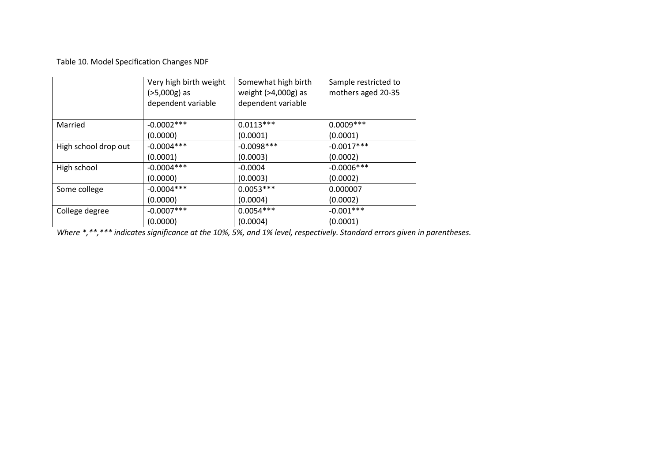Table 10. Model Specification Changes NDF

|                      | Very high birth weight<br>$(>5,000g)$ as<br>dependent variable | Somewhat high birth<br>weight (>4,000g) as<br>dependent variable | Sample restricted to<br>mothers aged 20-35 |
|----------------------|----------------------------------------------------------------|------------------------------------------------------------------|--------------------------------------------|
| Married              | $-0.0002***$                                                   | $0.0113***$                                                      | $0.0009***$                                |
|                      | (0.0000)                                                       | (0.0001)                                                         | (0.0001)                                   |
| High school drop out | $-0.0004***$                                                   | $-0.0098***$                                                     | $-0.0017***$                               |
|                      | (0.0001)                                                       | (0.0003)                                                         | (0.0002)                                   |
| High school          | $-0.0004***$                                                   | $-0.0004$                                                        | $-0.0006$ ***                              |
|                      | (0.0000)                                                       | (0.0003)                                                         | (0.0002)                                   |
| Some college         | $-0.0004***$                                                   | $0.0053***$                                                      | 0.000007                                   |
|                      | (0.0000)                                                       | (0.0004)                                                         | (0.0002)                                   |
| College degree       | $-0.0007$ ***                                                  | $0.0054***$                                                      | $-0.001***$                                |
|                      | (0.0000)                                                       | (0.0004)                                                         | (0.0001)                                   |

*Where \*,\*\*,\*\*\* indicates significance at the 10%, 5%, and 1% level, respectively. Standard errors given in parentheses.*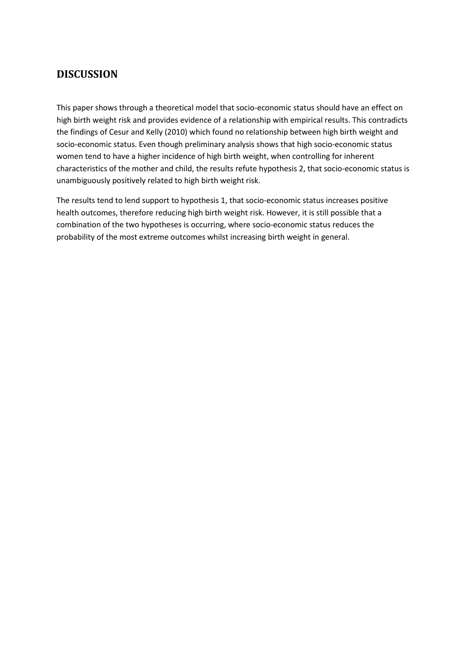# **DISCUSSION**

This paper shows through a theoretical model that socio-economic status should have an effect on high birth weight risk and provides evidence of a relationship with empirical results. This contradicts the findings of Cesur and Kelly (2010) which found no relationship between high birth weight and socio-economic status. Even though preliminary analysis shows that high socio-economic status women tend to have a higher incidence of high birth weight, when controlling for inherent characteristics of the mother and child, the results refute hypothesis 2, that socio-economic status is unambiguously positively related to high birth weight risk.

The results tend to lend support to hypothesis 1, that socio-economic status increases positive health outcomes, therefore reducing high birth weight risk. However, it is still possible that a combination of the two hypotheses is occurring, where socio-economic status reduces the probability of the most extreme outcomes whilst increasing birth weight in general.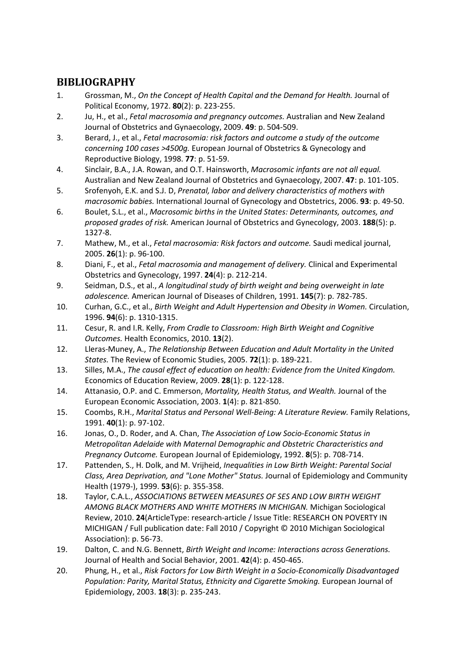# **BIBLIOGRAPHY**

- <span id="page-30-0"></span>1. Grossman, M., *On the Concept of Health Capital and the Demand for Health.* Journal of Political Economy, 1972. **80**(2): p. 223-255.
- <span id="page-30-1"></span>2. Ju, H., et al., *Fetal macrosomia and pregnancy outcomes.* Australian and New Zealand Journal of Obstetrics and Gynaecology, 2009. **49**: p. 504-509.
- <span id="page-30-2"></span>3. Berard, J., et al., *Fetal macrosomia: risk factors and outcome a study of the outcome concerning 100 cases >4500g.* European Journal of Obstetrics & Gynecology and Reproductive Biology, 1998. **77**: p. 51-59.
- <span id="page-30-3"></span>4. Sinclair, B.A., J.A. Rowan, and O.T. Hainsworth, *Macrosomic infants are not all equal.* Australian and New Zealand Journal of Obstetrics and Gynaecology, 2007. **47**: p. 101-105.
- <span id="page-30-4"></span>5. Srofenyoh, E.K. and S.J. D, *Prenatal, labor and delivery characteristics of mothers with macrosomic babies.* International Journal of Gynecology and Obstetrics, 2006. **93**: p. 49-50.
- <span id="page-30-5"></span>6. Boulet, S.L., et al., *Macrosomic births in the United States: Determinants, outcomes, and proposed grades of risk.* American Journal of Obstetrics and Gynecology, 2003. **188**(5): p. 1327-8.
- <span id="page-30-6"></span>7. Mathew, M., et al., *Fetal macrosomia: Risk factors and outcome.* Saudi medical journal, 2005. **26**(1): p. 96-100.
- <span id="page-30-7"></span>8. Diani, F., et al., *Fetal macrosomia and management of delivery.* Clinical and Experimental Obstetrics and Gynecology, 1997. **24**(4): p. 212-214.
- <span id="page-30-8"></span>9. Seidman, D.S., et al., *A longitudinal study of birth weight and being overweight in late adolescence.* American Journal of Diseases of Children, 1991. **145**(7): p. 782-785.
- <span id="page-30-9"></span>10. Curhan, G.C., et al., *Birth Weight and Adult Hypertension and Obesity in Women.* Circulation, 1996. **94**(6): p. 1310-1315.
- <span id="page-30-10"></span>11. Cesur, R. and I.R. Kelly, *From Cradle to Classroom: High Birth Weight and Cognitive Outcomes.* Health Economics, 2010. **13**(2).
- <span id="page-30-11"></span>12. Lleras-Muney, A., *The Relationship Between Education and Adult Mortality in the United States.* The Review of Economic Studies, 2005. **72**(1): p. 189-221.
- <span id="page-30-12"></span>13. Silles, M.A., *The causal effect of education on health: Evidence from the United Kingdom.* Economics of Education Review, 2009. **28**(1): p. 122-128.
- <span id="page-30-13"></span>14. Attanasio, O.P. and C. Emmerson, *Mortality, Health Status, and Wealth.* Journal of the European Economic Association, 2003. **1**(4): p. 821-850.
- <span id="page-30-14"></span>15. Coombs, R.H., *Marital Status and Personal Well-Being: A Literature Review.* Family Relations, 1991. **40**(1): p. 97-102.
- <span id="page-30-15"></span>16. Jonas, O., D. Roder, and A. Chan, *The Association of Low Socio-Economic Status in Metropolitan Adelaide with Maternal Demographic and Obstetric Characteristics and Pregnancy Outcome.* European Journal of Epidemiology, 1992. **8**(5): p. 708-714.
- <span id="page-30-16"></span>17. Pattenden, S., H. Dolk, and M. Vrijheid, *Inequalities in Low Birth Weight: Parental Social Class, Area Deprivation, and "Lone Mother" Status.* Journal of Epidemiology and Community Health (1979-), 1999. **53**(6): p. 355-358.
- <span id="page-30-17"></span>18. Taylor, C.A.L., *ASSOCIATIONS BETWEEN MEASURES OF SES AND LOW BIRTH WEIGHT AMONG BLACK MOTHERS AND WHITE MOTHERS IN MICHIGAN.* Michigan Sociological Review, 2010. **24**(ArticleType: research-article / Issue Title: RESEARCH ON POVERTY IN MICHIGAN / Full publication date: Fall 2010 / Copyright © 2010 Michigan Sociological Association): p. 56-73.
- <span id="page-30-18"></span>19. Dalton, C. and N.G. Bennett, *Birth Weight and Income: Interactions across Generations.* Journal of Health and Social Behavior, 2001. **42**(4): p. 450-465.
- <span id="page-30-19"></span>20. Phung, H., et al., *Risk Factors for Low Birth Weight in a Socio-Economically Disadvantaged Population: Parity, Marital Status, Ethnicity and Cigarette Smoking.* European Journal of Epidemiology, 2003. **18**(3): p. 235-243.